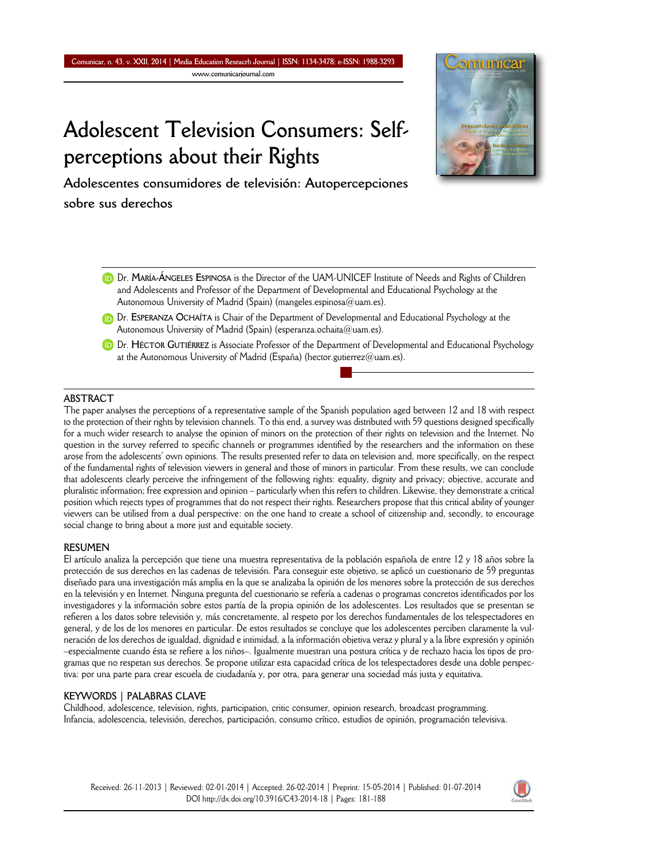**Adolescent Television Consumers: Selfperceptions about their Rights**

**Adolescentes consumidores de televisión: Autopercepciones sobre sus derechos**



- **Dr. ESPERANZA OCHAÍTA** is Chair of the Department of Developmental and Educational Psychology at the Autonomous University of Madrid (Spain) (esperanza.ochaita@uam.es).
- **D** Dr. HÉCTOR GUTIÉRREZ is Associate Professor of the Department of Developmental and Educational Psychology at the Autonomous University of Madrid (España) (hector.gutierrez@uam.es).

# **ABSTRACT**

The paper analyses the perceptions of a representative sample of the Spanish population aged between 12 and 18 with respect to the protection of their rights by television channels. To this end, a survey was distributed with 59 questions designed specifically for a much wider research to analyse the opinion of minors on the protection of their rights on television and the Internet. No question in the survey referred to specific channels or programmes identified by the researchers and the information on these arose from the adolescents' own opinions. The results presented refer to data on television and, more specifically, on the respect of the fundamental rights of television viewers in general and those of minors in particular. From these results, we can conclude that adolescents clearly perceive the infringement of the following rights: equality, dignity and privacy; objective, accurate and pluralistic information; free expression and opinion – particularly when this refers to children. Likewise, they demonstrate a critical position which rejects types of programmes that do not respect their rights. Researchers propose that this critical ability of younger viewers can be utilised from a dual perspective: on the one hand to create a school of citizenship and, secondly, to encourage social change to bring about a more just and equitable society.

#### **RESUMEN**

El artículo analiza la percepción que tiene una muestra representativa de la población española de entre 12 y 18 años sobre la protección de sus derechos en las cadenas de televisión. Para conseguir este objetivo, se aplicó un cuestionario de 59 preguntas diseñado para una investigación más amplia en la que se analizaba la opinión de los menores sobre la protección de sus derechos en la televisión y en Internet. Ninguna pregunta del cuestionario se refería a cadenas o programas concretos identificados por los investigadores y la información sobre estos partía de la propia opinión de los adolescentes. Los resultados que se presentan se refieren a los datos sobre televisión y, más concretamente, al respeto por los derechos fundamentales de los telespectadores en general, y de los de los menores en particular. De estos resultados se concluye que los adolescentes perciben claramente la vulneración de los derechos de igualdad, dignidad e intimidad, a la información objetiva veraz y plural y a la libre expresión y opinión –especialmente cuando ésta se refiere a los niños–. Igualmente muestran una postura crítica y de rechazo hacia los tipos de programas que no respetan sus derechos. Se propone utilizar esta capacidad crítica de los telespectadores desde una doble perspectiva: por una parte para crear escuela de ciudadanía y, por otra, para generar una sociedad más justa y equitativa.

#### **KEYWORDS | PALABRAS CLAVE**

Childhood, adolescence, television, rights, participation, critic consumer, opinion research, broadcast programming. Infancia, adolescencia, televisión, derechos, participación, consumo crítico, estudios de opinión, programación televisiva.



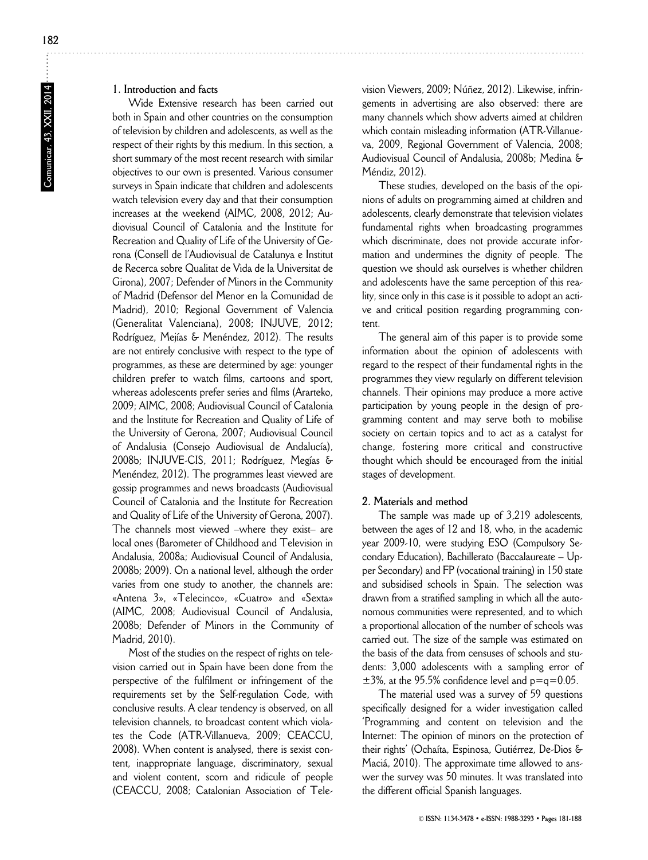# **1. Introduction and facts**

Wide Extensive research has been carried out both in Spain and other countries on the consumption of television by children and adolescents, as well as the respect of their rights by this medium. In this section, a short summary of the most recent research with similar objectives to our own is presented. Various consumer surveys in Spain indicate that children and adolescents watch television every day and that their consumption increases at the weekend (AIMC, 2008, 2012; Audiovisual Council of Catalonia and the Institute for Recreation and Quality of Life of the University of Gerona (Consell de l'Audiovisual de Catalunya e Institut de Recerca sobre Qualitat de Vida de la Universitat de Girona), 2007; Defender of Minors in the Community of Madrid (Defensor del Menor en la Comunidad de Madrid), 2010; Regional Government of Valencia (Generalitat Valenciana), 2008; INJUVE, 2012; Rodríguez, Mejías & Menéndez, 2012). The results are not entirely conclusive with respect to the type of programmes, as these are determined by age: younger children prefer to watch films, cartoons and sport, whereas adolescents prefer series and films (Ararteko, 2009; AIMC, 2008; Audiovisual Council of Catalonia and the Institute for Recreation and Quality of Life of the University of Gerona, 2007; Audiovisual Council of Andalusia (Consejo Audiovisual de Andalucía), 2008b; INJUVE-CIS, 2011; Rodríguez, Megías & Menéndez, 2012). The programmes least viewed are gossip programmes and news broadcasts (Audiovisual Council of Catalonia and the Institute for Recreation and Quality of Life of the University of Gerona, 2007). The channels most viewed –where they exist– are local ones (Barometer of Childhood and Television in Andalusia, 2008a; Audiovisual Council of Andalusia, 2008b; 2009). On a national level, although the order varies from one study to another, the channels are: «Antena 3», «Telecinco», «Cuatro» and «Sexta» (AIMC, 2008; Audiovisual Council of Andalusia, 2008b; Defender of Minors in the Community of Madrid, 2010).

Most of the studies on the respect of rights on television carried out in Spain have been done from the perspective of the fulfilment or infringement of the requirements set by the Self-regulation Code, with conclusive results. A clear tendency is observed, on all television channels, to broadcast content which violates the Code (ATR-Villanueva, 2009; CEACCU, 2008). When content is analysed, there is sexist content, inappropriate language, discriminatory, sexual and violent content, scorn and ridicule of people (CEACCU, 2008; Catalonian Association of Television Viewers, 2009; Núñez, 2012). Likewise, infringements in advertising are also observed: there are many channels which show adverts aimed at children which contain misleading information (ATR-Villanueva, 2009, Regional Government of Valencia, 2008; Audiovisual Council of Andalusia, 2008b; Medina & Méndiz, 2012).

These studies, developed on the basis of the opinions of adults on programming aimed at children and adolescents, clearly demonstrate that television violates fundamental rights when broadcasting programmes which discriminate, does not provide accurate information and undermines the dignity of people. The question we should ask ourselves is whether children and adolescents have the same perception of this reality, since only in this case is it possible to adopt an active and critical position regarding programming content.

The general aim of this paper is to provide some information about the opinion of adolescents with regard to the respect of their fundamental rights in the programmes they view regularly on different television channels. Their opinions may produce a more active participation by young people in the design of programming content and may serve both to mobilise society on certain topics and to act as a catalyst for change, fostering more critical and constructive thought which should be encouraged from the initial stages of development.

#### **2. Materials and method**

The sample was made up of 3,219 adolescents, between the ages of 12 and 18, who, in the academic year 2009-10, were studying ESO (Compulsory Secondary Education), Bachillerato (Baccalaureate – Upper Secondary) and FP (vocational training) in 150 state and subsidised schools in Spain. The selection was drawn from a stratified sampling in which all the autonomous communities were represented, and to which a proportional allocation of the number of schools was carried out. The size of the sample was estimated on the basis of the data from censuses of schools and students: 3,000 adolescents with a sampling error of  $\pm$ 3%, at the 95.5% confidence level and  $p=q=0.05$ .

The material used was a survey of 59 questions specifically designed for a wider investigation called 'Programming and content on television and the Internet: The opinion of minors on the protection of their rights' (Ochaíta, Espinosa, Gutiérrez, De-Dios & Maciá, 2010). The approximate time allowed to answer the survey was 50 minutes. It was translated into the different official Spanish languages.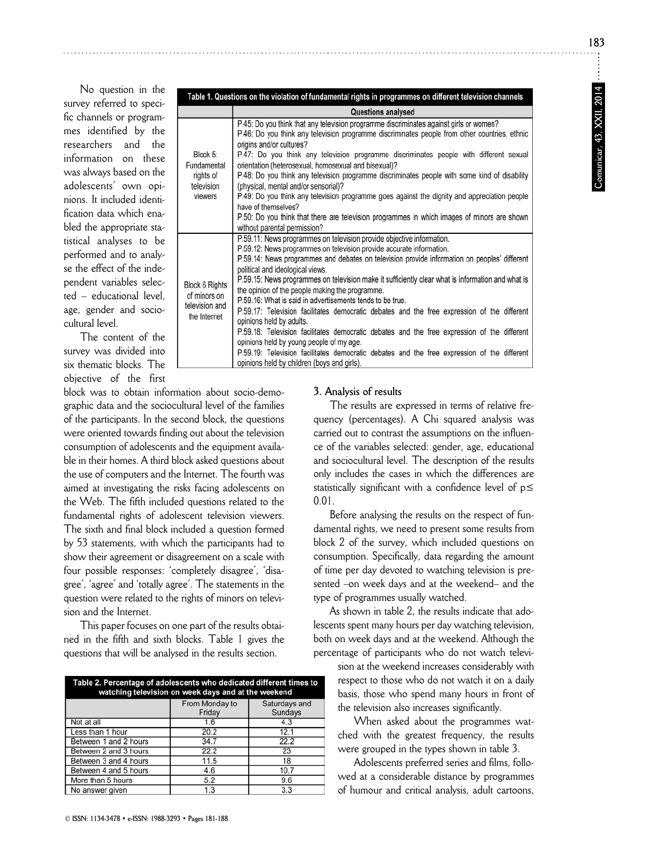**183**

No question in the survey referred to specific channels or programmes identified by the researchers and the information on these was always based on the adolescents' own opinions. It included identification data which enabled the appropriate statistical analyses to be performed and to analyse the effect of the independent variables selected – educational level, age, gender and sociocultural level.

The content of the survey was divided into six thematic blocks. The objective of the first

block was to obtain information about socio-demographic data and the sociocultural level of the families of the participants. In the second block, the questions were oriented towards finding out about the television consumption of adolescents and the equipment available in their homes. A third block asked questions about the use of computers and the Internet. The fourth was aimed at investigating the risks facing adolescents on the Web. The fifth included questions related to the fundamental rights of adolescent television viewers. The sixth and final block included a question formed by 53 statements, with which the participants had to show their agreement or disagreement on a scale with four possible responses: 'completely disagree', 'disagree', 'agree' and 'totally agree'. The statements in the question were related to the rights of minors on television and the Internet.

**B**lo of tel  $\overline{t}$ 

This paper focuses on one part of the results obtained in the fifth and sixth blocks. Table 1 gives the questions that will be analysed in the results section.

| Table 2. Percentage of adolescents who dedicated different times to<br>watching television on week days and at the weekend |                          |                          |  |  |  |
|----------------------------------------------------------------------------------------------------------------------------|--------------------------|--------------------------|--|--|--|
|                                                                                                                            | From Monday to<br>Friday | Saturdays and<br>Sundays |  |  |  |
| Not at all                                                                                                                 | 1.6                      | 4.3                      |  |  |  |
| Less than 1 hour                                                                                                           | 20.2                     | 12.1                     |  |  |  |
| Between 1 and 2 hours                                                                                                      | 34.7                     | 22.2                     |  |  |  |
| Between 2 and 3 hours                                                                                                      | 22.2                     | 23                       |  |  |  |
| Between 3 and 4 hours                                                                                                      | 11.5                     | 18                       |  |  |  |
| Between 4 and 5 hours                                                                                                      | 4.6                      | 10.7                     |  |  |  |
| More than 5 hours                                                                                                          | 5.2                      | 9.6                      |  |  |  |
| No answer given                                                                                                            | 1.3                      | 3.3                      |  |  |  |

| able 1. Questions on the violation of fundamental rights in programmes on different television channels |                                                                                                                                                                                                                                                                                                                                                                                                                                                                                                                                                                                                                                                                                                                                                                                                                                                                                                                            |  |  |  |  |  |  |  |
|---------------------------------------------------------------------------------------------------------|----------------------------------------------------------------------------------------------------------------------------------------------------------------------------------------------------------------------------------------------------------------------------------------------------------------------------------------------------------------------------------------------------------------------------------------------------------------------------------------------------------------------------------------------------------------------------------------------------------------------------------------------------------------------------------------------------------------------------------------------------------------------------------------------------------------------------------------------------------------------------------------------------------------------------|--|--|--|--|--|--|--|
|                                                                                                         | Questions analysed                                                                                                                                                                                                                                                                                                                                                                                                                                                                                                                                                                                                                                                                                                                                                                                                                                                                                                         |  |  |  |  |  |  |  |
| Block 5:<br>indamental<br>rights of<br>elevision<br>viewers                                             | P.45: Do you think that any television programme discriminates against girls or women?<br>P.46: Do you think any television programme discriminates people from other countries, ethnic<br>origins and/or cultures?<br>P.47: Do you think any television programme discriminates people with different sexual<br>orientation (heterosexual, homosexual and bisexual)?<br>P.48: Do you think any television programme discriminates people with some kind of disability<br>(physical, mental and/or sensorial)?<br>P.49: Do you think any television programme goes against the dignity and appreciation people<br>have of themselves?<br>P.50: Do you think that there are television programmes in which images of minors are shown<br>without parental permission?                                                                                                                                                       |  |  |  |  |  |  |  |
| ck 6 Rights<br>minors on<br>evision and<br>e Internet                                                   | P.59.11: News programmes on television provide objective information.<br>P.59.12: News programmes on television provide accurate information.<br>P.59.14: News programmes and debates on television provide information on peoples' different<br>political and ideological views.<br>P.59.15: News programmes on television make it sufficiently clear what is information and what is<br>the opinion of the people making the programme.<br>P.59.16: What is said in advertisements tends to be true.<br>P.59.17: Television facilitates democratic debates and the free expression of the different<br>opinions held by adults.<br>P.59.18: Television facilitates democratic debates and the free expression of the different<br>opinions held by young people of my age.<br>P.59.19: Television facilitates democratic debates and the free expression of the different<br>opinions held by children (boys and girls). |  |  |  |  |  |  |  |

# **3. Analysis of results**

The results are expressed in terms of relative frequency (percentages). A Chi squared analysis was carried out to contrast the assumptions on the influence of the variables selected: gender, age, educational and sociocultural level. The description of the results only includes the cases in which the differences are statistically significant with a confidence level of p≤ 0.01.

Before analysing the results on the respect of fundamental rights, we need to present some results from block 2 of the survey, which included questions on consumption. Specifically, data regarding the amount of time per day devoted to watching television is presented –on week days and at the weekend– and the type of programmes usually watched.

As shown in table 2, the results indicate that adolescents spent many hours per day watching television, both on week days and at the weekend. Although the percentage of participants who do not watch televi-

> sion at the weekend increases considerably with respect to those who do not watch it on a daily basis, those who spend many hours in front of the television also increases significantly.

> When asked about the programmes watched with the greatest frequency, the results were grouped in the types shown in table 3.

> Adolescents preferred series and films, followed at a considerable distance by programmes of humour and critical analysis, adult cartoons,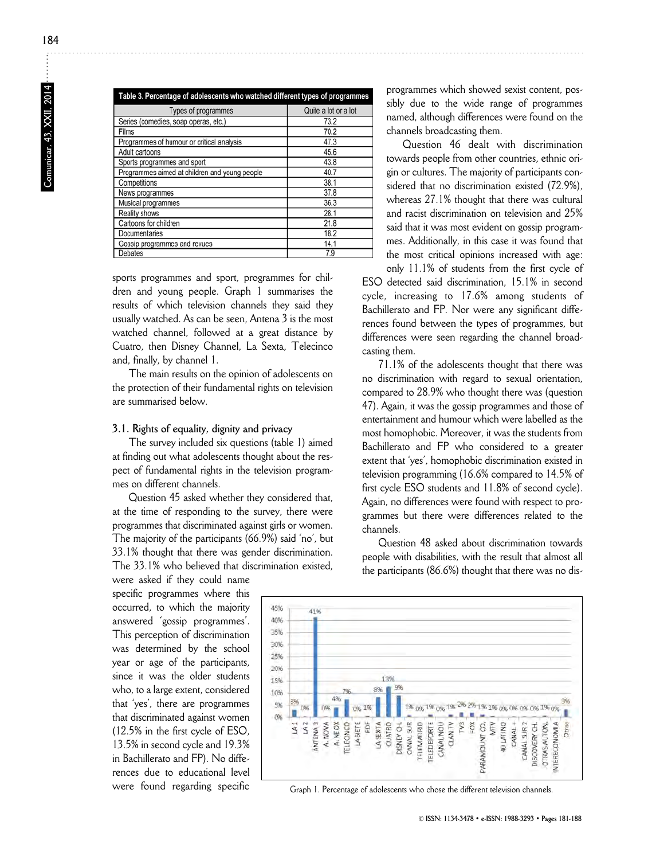| Table 3. Percentage of adolescents who watched different types of programmes |                      |  |  |  |
|------------------------------------------------------------------------------|----------------------|--|--|--|
| Types of programmes                                                          | Quite a lot or a lot |  |  |  |
| Series (comedies, soap operas, etc.)                                         | 73.2                 |  |  |  |
| Films                                                                        | 70.2                 |  |  |  |
| Programmes of humour or critical analysis                                    | 47.3                 |  |  |  |
| Adult cartoons                                                               | 45.6                 |  |  |  |
| Sports programmes and sport                                                  | 43.8                 |  |  |  |
| Programmes aimed at children and young people                                | 40.7                 |  |  |  |
| Competitions                                                                 | 38.1                 |  |  |  |
| News programmes                                                              | 37.8                 |  |  |  |
| Musical programmes                                                           | 36.3                 |  |  |  |
| Reality shows                                                                | 28.1                 |  |  |  |
| Cartoons for children                                                        | 21.8                 |  |  |  |
| Documentaries                                                                | 18.2                 |  |  |  |
| Gossip programmes and revues                                                 | 14.1                 |  |  |  |
| <b>Debates</b>                                                               | 7.9                  |  |  |  |

sports programmes and sport, programmes for children and young people. Graph 1 summarises the results of which television channels they said they usually watched. As can be seen, Antena 3 is the most watched channel, followed at a great distance by Cuatro, then Disney Channel, La Sexta, Telecinco and, finally, by channel 1.

The main results on the opinion of adolescents on the protection of their fundamental rights on television are summarised below.

# **3.1. Rights of equality, dignity and privacy**

The survey included six questions (table 1) aimed at finding out what adolescents thought about the respect of fundamental rights in the television programmes on different channels.

Question 45 asked whether they considered that, at the time of responding to the survey, there were programmes that discriminated against girls or women. The majority of the participants (66.9%) said 'no', but 33.1% thought that there was gender discrimination. The 33.1% who believed that discrimination existed,

were asked if they could name specific programmes where this occurred, to which the majority answered 'gossip programmes'. This perception of discrimination was determined by the school year or age of the participants, since it was the older students who, to a large extent, considered that 'yes', there are programmes that discriminated against women (12.5% in the first cycle of ESO, 13.5% in second cycle and 19.3% in Bachillerato and FP). No differences due to educational level were found regarding specific programmes which showed sexist content, possibly due to the wide range of programmes named, although differences were found on the channels broadcasting them.

Question 46 dealt with discrimination towards people from other countries, ethnic origin or cultures. The majority of participants considered that no discrimination existed (72.9%), whereas 27.1% thought that there was cultural and racist discrimination on television and 25% said that it was most evident on gossip programmes. Additionally, in this case it was found that the most critical opinions increased with age: only 11.1% of students from the first cycle of

ESO detected said discrimination, 15.1% in second cycle, increasing to 17.6% among students of Bachillerato and FP. Nor were any significant differences found between the types of programmes, but differences were seen regarding the channel broadcasting them.

71.1% of the adolescents thought that there was no discrimination with regard to sexual orientation, compared to 28.9% who thought there was (question 47). Again, it was the gossip programmes and those of entertainment and humour which were labelled as the most homophobic. Moreover, it was the students from Bachillerato and FP who considered to a greater extent that 'yes', homophobic discrimination existed in television programming (16.6% compared to 14.5% of first cycle ESO students and 11.8% of second cycle). Again, no differences were found with respect to programmes but there were differences related to the channels.

Question 48 asked about discrimination towards people with disabilities, with the result that almost all the participants (86.6%) thought that there was no dis-



Graph 1. Percentage of adolescents who chose the different television channels.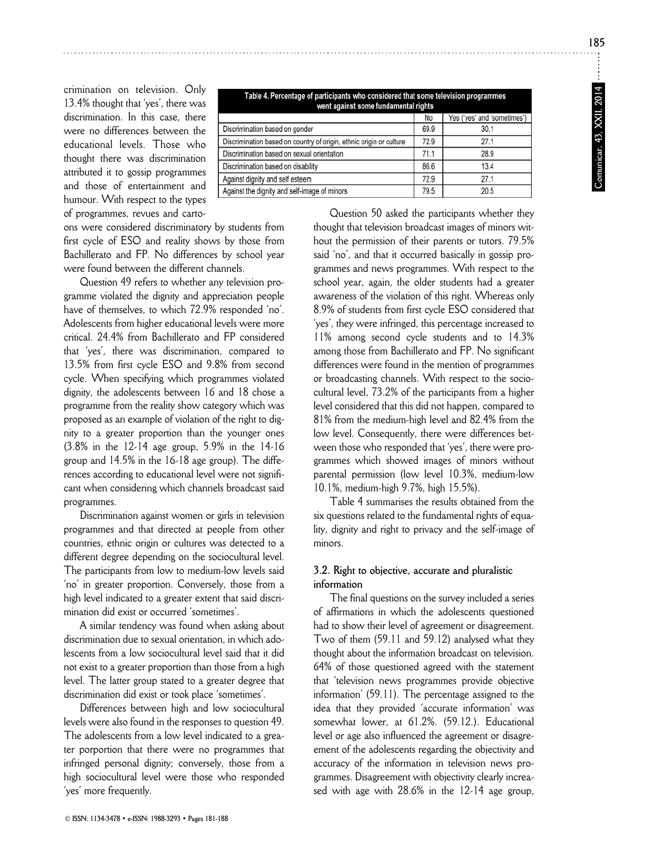**185**

crimination on television. Only 13.4% thought that 'yes', there was discrimination. In this case, there were no differences between the educational levels. Those who thought there was discrimination attributed it to gossip programmes and those of entertainment and humour. With respect to the types of programmes, revues and carto-

Table 4. Percentage of participants who considered that some television programmes went against some fundamental rights **No** Yes ('ves' and 'sometimes') Discrimination based on gender 69.9  $30.1$ Discrimination based on country of origin, ethnic origin or culture  $72.9$  $27.1$  $71.1$ Discrimination based on sexual orientation  $28.9$ Discrimination based on disability 86.6  $13.4$  $72.9$  $27.1$ Against dignity and self esteem Against the dignity and self-image of minors 79.5  $20.5$ 

ons were considered discriminatory by students from first cycle of ESO and reality shows by those from Bachillerato and FP. No differences by school year were found between the different channels.

Question 49 refers to whether any television programme violated the dignity and appreciation people have of themselves, to which 72.9% responded 'no'. Adolescents from higher educational levels were more critical. 24.4% from Bachillerato and FP considered that 'yes', there was discrimination, compared to 13.5% from first cycle ESO and 9.8% from second cycle. When specifying which programmes violated dignity, the adolescents between 16 and 18 chose a programme from the reality show category which was proposed as an example of violation of the right to dignity to a greater proportion than the younger ones (3.8% in the 12-14 age group, 5.9% in the 14-16 group and 14.5% in the 16-18 age group). The differences according to educational level were not significant when considering which channels broadcast said programmes.

Discrimination against women or girls in television programmes and that directed at people from other countries, ethnic origin or cultures was detected to a different degree depending on the sociocultural level. The participants from low to medium-low levels said 'no' in greater proportion. Conversely, those from a high level indicated to a greater extent that said discrimination did exist or occurred 'sometimes'.

A similar tendency was found when asking about discrimination due to sexual orientation, in which adolescents from a low sociocultural level said that it did not exist to a greater proportion than those from a high level. The latter group stated to a greater degree that discrimination did exist or took place 'sometimes'.

Differences between high and low sociocultural levels were also found in the responses to question 49. The adolescents from a low level indicated to a greater porportion that there were no programmes that infringed personal dignity; conversely, those from a high sociocultural level were those who responded 'yes' more frequently.

Question 50 asked the participants whether they thought that television broadcast images of minors without the permission of their parents or tutors. 79.5% said 'no', and that it occurred basically in gossip programmes and news programmes. With respect to the school year, again, the older students had a greater awareness of the violation of this right. Whereas only 8.9% of students from first cycle ESO considered that 'yes', they were infringed, this percentage increased to 11% among second cycle students and to 14.3% among those from Bachillerato and FP. No significant differences were found in the mention of programmes or broadcasting channels. With respect to the sociocultural level, 73.2% of the participants from a higher level considered that this did not happen, compared to 81% from the medium-high level and 82.4% from the low level. Consequently, there were differences between those who responded that 'yes', there were programmes which showed images of minors without parental permission (low level 10.3%, medium-low 10.1%, medium-high 9.7%, high 15.5%).

Table 4 summarises the results obtained from the six questions related to the fundamental rights of equality, dignity and right to privacy and the self-image of minors.

# **3.2. Right to objective, accurate and pluralistic information**

The final questions on the survey included a series of affirmations in which the adolescents questioned had to show their level of agreement or disagreement. Two of them (59.11 and 59.12) analysed what they thought about the information broadcast on television. 64% of those questioned agreed with the statement that 'television news programmes provide objective information' (59.11). The percentage assigned to the idea that they provided 'accurate information' was somewhat lower, at 61.2%. (59.12.). Educational level or age also influenced the agreement or disagreement of the adolescents regarding the objectivity and accuracy of the information in television news programmes. Disagreement with objectivity clearly increased with age with 28.6% in the 12-14 age group,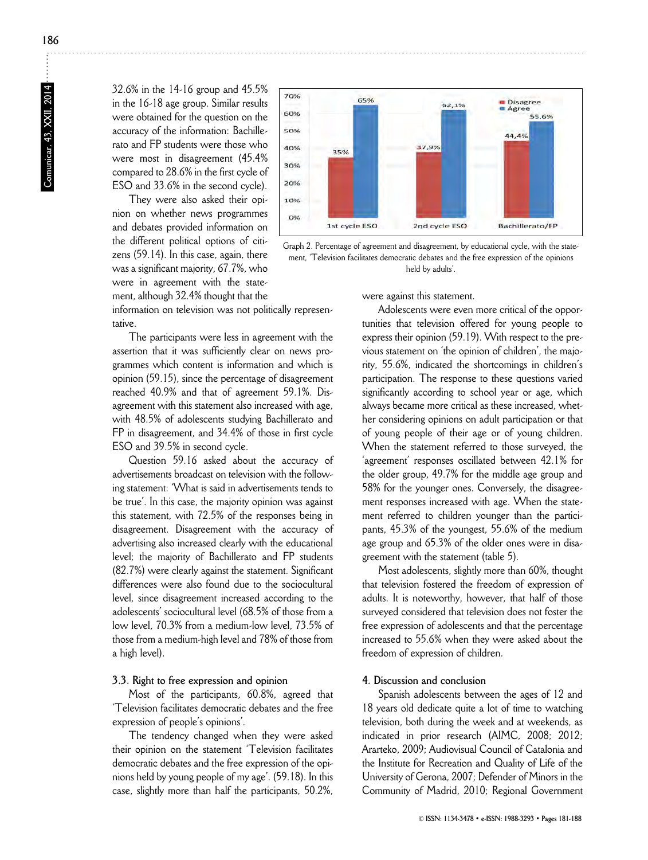32.6% in the 14-16 group and 45.5% in the 16-18 age group. Similar results were obtained for the question on the accuracy of the information: Bachillerato and FP students were those who were most in disagreement (45.4% compared to 28.6% in the first cycle of ESO and 33.6% in the second cycle).

They were also asked their opinion on whether news programmes and debates provided information on the different political options of citizens (59.14). In this case, again, there was a significant majority, 67.7%, who were in agreement with the statement, although 32.4% thought that the



Graph 2. Percentage of agreement and disagreement, by educational cycle, with the statement, 'Television facilitates democratic debates and the free expression of the opinions held by adults'.

were against this statement.

information on television was not politically representative.

The participants were less in agreement with the assertion that it was sufficiently clear on news programmes which content is information and which is opinion (59.15), since the percentage of disagreement reached 40.9% and that of agreement 59.1%. Disagreement with this statement also increased with age, with 48.5% of adolescents studying Bachillerato and FP in disagreement, and 34.4% of those in first cycle ESO and 39.5% in second cycle.

Question 59.16 asked about the accuracy of advertisements broadcast on television with the following statement: 'What is said in advertisements tends to be true'. In this case, the majority opinion was against this statement, with 72.5% of the responses being in disagreement. Disagreement with the accuracy of advertising also increased clearly with the educational level; the majority of Bachillerato and FP students (82.7%) were clearly against the statement. Significant differences were also found due to the sociocultural level, since disagreement increased according to the adolescents' sociocultural level (68.5% of those from a low level, 70.3% from a medium-low level, 73.5% of those from a medium-high level and 78% of those from a high level).

### **3.3. Right to free expression and opinion**

Most of the participants, 60.8%, agreed that 'Television facilitates democratic debates and the free expression of people's opinions'.

The tendency changed when they were asked their opinion on the statement 'Television facilitates democratic debates and the free expression of the opinions held by young people of my age'. (59.18). In this case, slightly more than half the participants, 50.2%,

Adolescents were even more critical of the opportunities that television offered for young people to express their opinion (59.19). With respect to the previous statement on 'the opinion of children', the majority, 55.6%, indicated the shortcomings in children's participation. The response to these questions varied significantly according to school year or age, which always became more critical as these increased, whether considering opinions on adult participation or that of young people of their age or of young children. When the statement referred to those surveyed, the 'agreement' responses oscillated between 42.1% for the older group, 49.7% for the middle age group and 58% for the younger ones. Conversely, the disagreement responses increased with age. When the statement referred to children younger than the participants, 45.3% of the youngest, 55.6% of the medium age group and 65.3% of the older ones were in disagreement with the statement (table 5).

Most adolescents, slightly more than 60%, thought that television fostered the freedom of expression of adults. It is noteworthy, however, that half of those surveyed considered that television does not foster the free expression of adolescents and that the percentage increased to 55.6% when they were asked about the freedom of expression of children.

# **4. Discussion and conclusion**

Spanish adolescents between the ages of 12 and 18 years old dedicate quite a lot of time to watching television, both during the week and at weekends, as indicated in prior research (AIMC, 2008; 2012; Ararteko, 2009; Audiovisual Council of Catalonia and the Institute for Recreation and Quality of Life of the University of Gerona, 2007; Defender of Minors in the Community of Madrid, 2010; Regional Government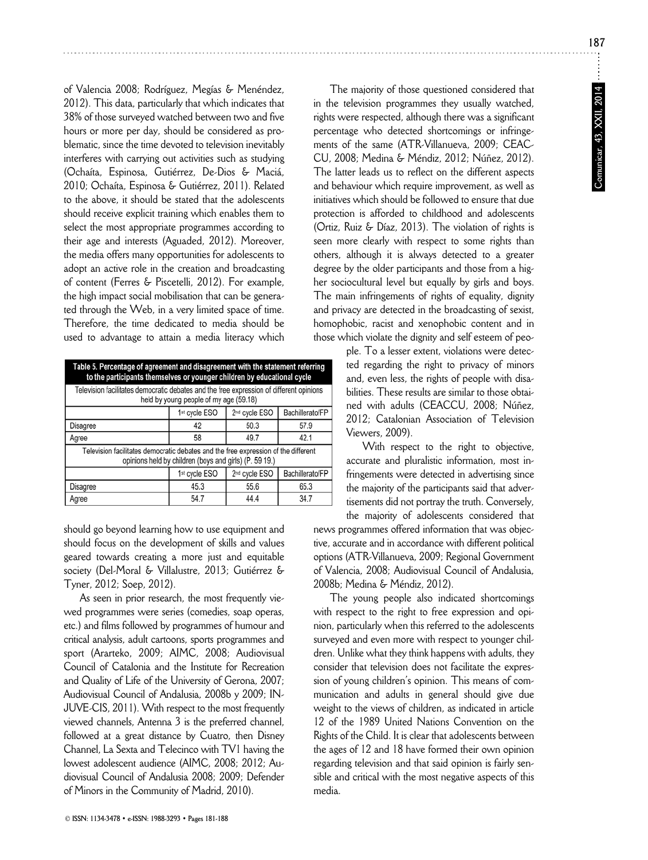of Valencia 2008; Rodríguez, Megías & Menéndez, 2012). This data, particularly that which indicates that 38% of those surveyed watched between two and five hours or more per day, should be considered as problematic, since the time devoted to television inevitably interferes with carrying out activities such as studying (Ochaíta, Espinosa, Gutiérrez, De-Dios & Maciá, 2010; Ochaíta, Espinosa & Gutiérrez, 2011). Related to the above, it should be stated that the adolescents should receive explicit training which enables them to select the most appropriate programmes according to their age and interests (Aguaded, 2012). Moreover, the media offers many opportunities for adolescents to adopt an active role in the creation and broadcasting of content (Ferres & Piscetelli, 2012). For example, the high impact social mobilisation that can be generated through the Web, in a very limited space of time. Therefore, the time dedicated to media should be used to advantage to attain a media literacy which

| Table 5. Percentage of agreement and disagreement with the statement referring<br>to the participants themselves or younger children by educational cycle |               |                           |                 |  |  |
|-----------------------------------------------------------------------------------------------------------------------------------------------------------|---------------|---------------------------|-----------------|--|--|
| Television facilitates democratic debates and the free expression of different opinions<br>held by young people of my age (59.18)                         |               |                           |                 |  |  |
|                                                                                                                                                           | 1st cycle ESO | 2 <sup>nd</sup> cycle ESO | Bachillerato/FP |  |  |
| Disagree                                                                                                                                                  | 42            | 50.3                      | 57.9            |  |  |
| Agree                                                                                                                                                     | 58            | 49.7                      | 42.1            |  |  |
| Television facilitates democratic debates and the free expression of the different<br>opinions held by children (boys and girls) (P. 59 19.)              |               |                           |                 |  |  |
|                                                                                                                                                           | 1st cycle ESO | 2nd cycle ESO             | Bachillerato/FP |  |  |
| Disagree                                                                                                                                                  | 45.3          | 55.6                      | 65.3            |  |  |
| Agree                                                                                                                                                     | 54.7          | 44.4                      | 34.7            |  |  |

should go beyond learning how to use equipment and should focus on the development of skills and values geared towards creating a more just and equitable society (Del-Moral & Villalustre, 2013; Gutiérrez & Tyner, 2012; Soep, 2012).

As seen in prior research, the most frequently viewed programmes were series (comedies, soap operas, etc.) and films followed by programmes of humour and critical analysis, adult cartoons, sports programmes and sport (Ararteko, 2009; AIMC, 2008; Audiovisual Council of Catalonia and the Institute for Recreation and Quality of Life of the University of Gerona, 2007; Audiovisual Council of Andalusia, 2008b y 2009; IN-JUVE-CIS, 2011). With respect to the most frequently viewed channels, Antenna 3 is the preferred channel, followed at a great distance by Cuatro, then Disney Channel, La Sexta and Telecinco with TV1 having the lowest adolescent audience (AIMC, 2008; 2012; Audiovisual Council of Andalusia 2008; 2009; Defender of Minors in the Community of Madrid, 2010).

The majority of those questioned considered that in the television programmes they usually watched, rights were respected, although there was a significant percentage who detected shortcomings or infringements of the same (ATR-Villanueva, 2009; CEAC-CU, 2008; Medina & Méndiz, 2012; Núñez, 2012). The latter leads us to reflect on the different aspects and behaviour which require improvement, as well as initiatives which should be followed to ensure that due protection is afforded to childhood and adolescents (Ortiz, Ruiz & Díaz, 2013). The violation of rights is seen more clearly with respect to some rights than others, although it is always detected to a greater degree by the older participants and those from a higher sociocultural level but equally by girls and boys. The main infringements of rights of equality, dignity and privacy are detected in the broadcasting of sexist, homophobic, racist and xenophobic content and in those which violate the dignity and self esteem of peo-

> ple. To a lesser extent, violations were detected regarding the right to privacy of minors and, even less, the rights of people with disabilities. These results are similar to those obtained with adults (CEACCU, 2008; Núñez, 2012; Catalonian Association of Television Viewers, 2009).

> With respect to the right to objective, accurate and pluralistic information, most infringements were detected in advertising since the majority of the participants said that advertisements did not portray the truth. Conversely, the majority of adolescents considered that

news programmes offered information that was objective, accurate and in accordance with different political options (ATR-Villanueva, 2009; Regional Government of Valencia, 2008; Audiovisual Council of Andalusia, 2008b; Medina & Méndiz, 2012).

The young people also indicated shortcomings with respect to the right to free expression and opinion, particularly when this referred to the adolescents surveyed and even more with respect to younger children. Unlike what they think happens with adults, they consider that television does not facilitate the expression of young children's opinion. This means of communication and adults in general should give due weight to the views of children, as indicated in article 12 of the 1989 United Nations Convention on the Rights of the Child. It is clear that adolescents between the ages of 12 and 18 have formed their own opinion regarding television and that said opinion is fairly sensible and critical with the most negative aspects of this media.